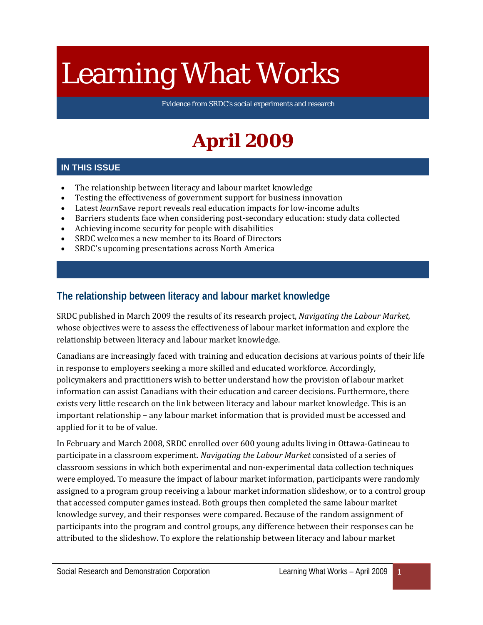# Learning What Works

Evidence from SRDC's social experiments and research

# **April 2009**

#### **IN THIS ISSUE**

- The relationship between literacy and labour market knowledge
- Testing the effectiveness of government support for business innovation
- Latest *learn*\$ave report reveals real education impacts for low-income adults
- Barriers students face when considering post-secondary education: study data collected
- Achieving income security for people with disabilities
- SRDC welcomes a new member to its Board of Directors
- SRDC's upcoming presentations across North America

# **The relationship between literacy and labour market knowledge**

SRDC published in March 2009 the results of its research project, *Navigating the Labour Market,*  whose objectives were to assess the effectiveness of labour market information and explore the relationship between literacy and labour market knowledge.

Canadians are increasingly faced with training and education decisions at various points of their life in response to employers seeking a more skilled and educated workforce. Accordingly, policymakers and practitioners wish to better understand how the provision of labour market information can assist Canadians with their education and career decisions. Furthermore, there exists very little research on the link between literacy and labour market knowledge. This is an important relationship – any labour market information that is provided must be accessed and applied for it to be of value.

In February and March 2008, SRDC enrolled over 600 young adults living in Ottawa-Gatineau to participate in a classroom experiment. *Navigating the Labour Market* consisted of a series of classroom sessions in which both experimental and non-experimental data collection techniques were employed. To measure the impact of labour market information, participants were randomly assigned to a program group receiving a labour market information slideshow, or to a control group that accessed computer games instead. Both groups then completed the same labour market knowledge survey, and their responses were compared. Because of the random assignment of participants into the program and control groups, any difference between their responses can be attributed to the slideshow. To explore the relationship between literacy and labour market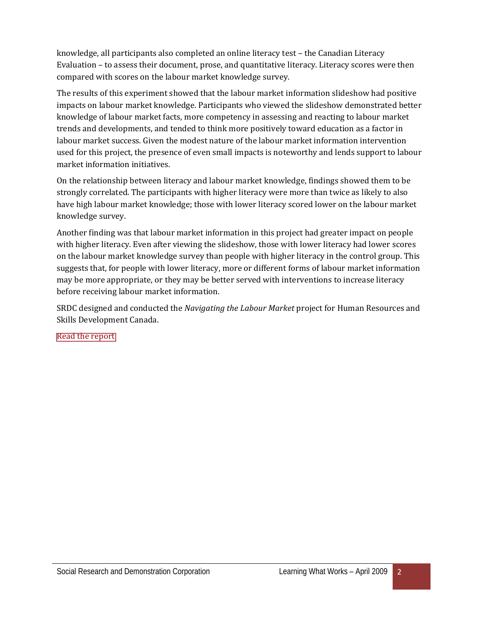knowledge, all participants also completed an online literacy test – the Canadian Literacy Evaluation – to assess their document, prose, and quantitative literacy. Literacy scores were then compared with scores on the labour market knowledge survey.

The results of this experiment showed that the labour market information slideshow had positive impacts on labour market knowledge. Participants who viewed the slideshow demonstrated better knowledge of labour market facts, more competency in assessing and reacting to labour market trends and developments, and tended to think more positively toward education as a factor in labour market success. Given the modest nature of the labour market information intervention used for this project, the presence of even small impacts is noteworthy and lends support to labour market information initiatives.

On the relationship between literacy and labour market knowledge, findings showed them to be strongly correlated. The participants with higher literacy were more than twice as likely to also have high labour market knowledge; those with lower literacy scored lower on the labour market knowledge survey.

Another finding was that labour market information in this project had greater impact on people with higher literacy. Even after viewing the slideshow, those with lower literacy had lower scores on the labour market knowledge survey than people with higher literacy in the control group. This suggests that, for people with lower literacy, more or different forms of labour market information may be more appropriate, or they may be better served with interventions to increase literacy before receiving labour market information.

SRDC designed and conducted the *Navigating the Labour Market* project for Human Resources and Skills Development Canada.

[Read the report](http://www.srdc.org/uploads/NLM_report_ENG.pdf)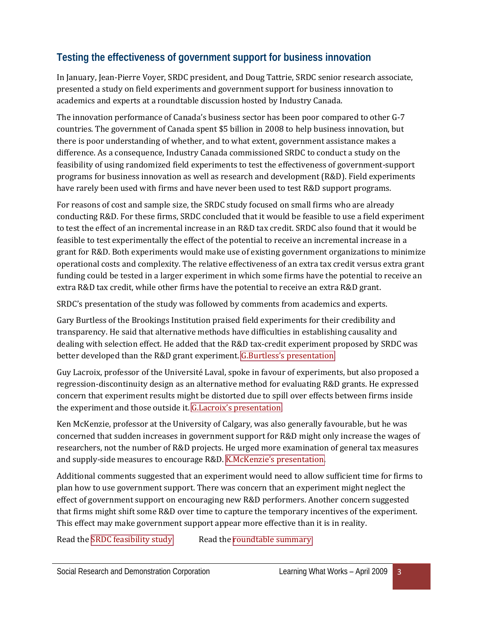# **Testing the effectiveness of government support for business innovation**

In January, Jean-Pierre Voyer, SRDC president, and Doug Tattrie, SRDC senior research associate, presented a study on field experiments and government support for business innovation to academics and experts at a roundtable discussion hosted by Industry Canada.

The innovation performance of Canada's business sector has been poor compared to other G-7 countries. The government of Canada spent \$5 billion in 2008 to help business innovation, but there is poor understanding of whether, and to what extent, government assistance makes a difference. As a consequence, Industry Canada commissioned SRDC to conduct a study on the feasibility of using randomized field experiments to test the effectiveness of government-support programs for business innovation as well as research and development (R&D). Field experiments have rarely been used with firms and have never been used to test R&D support programs.

For reasons of cost and sample size, the SRDC study focused on small firms who are already conducting R&D. For these firms, SRDC concluded that it would be feasible to use a field experiment to test the effect of an incremental increase in an R&D tax credit. SRDC also found that it would be feasible to test experimentally the effect of the potential to receive an incremental increase in a grant for R&D. Both experiments would make use of existing government organizations to minimize operational costs and complexity. The relative effectiveness of an extra tax credit versus extra grant funding could be tested in a larger experiment in which some firms have the potential to receive an extra R&D tax credit, while other firms have the potential to receive an extra R&D grant.

SRDC's presentation of the study was followed by comments from academics and experts.

Gary Burtless of the Brookings Institution praised field experiments for their credibility and transparency. He said that alternative methods have difficulties in establishing causality and dealing with selection effect. He added that the R&D tax-credit experiment proposed by SRDC was better developed than the R&D grant experiment. [G.Burtless's presentation.](http://www.srdc.org/uploads/Burtless_presentation.pdf)

Guy Lacroix, professor of the Université Laval, spoke in favour of experiments, but also proposed a regression-discontinuity design as an alternative method for evaluating R&D grants. He expressed concern that experiment results might be distorted due to spill over effects between firms inside the experiment and those outside it. [G.Lacroix's presentation.](http://www.srdc.org/uploads/Lacroix_presentation.pdf)

Ken McKenzie, professor at the University of Calgary, was also generally favourable, but he was concerned that sudden increases in government support for R&D might only increase the wages of researchers, not the number of R&D projects. He urged more examination of general tax measures and supply-side measures to encourage R&D. [K.McKenzie's presentation.](http://www.srdc.org/uploads/McKenzie_presentation.pdf)

Additional comments suggested that an experiment would need to allow sufficient time for firms to plan how to use government support. There was concern that an experiment might neglect the effect of government support on encouraging new R&D performers. Another concern suggested that firms might shift some R&D over time to capture the temporary incentives of the experiment. This effect may make government support appear more effective than it is in reality.

Read the [SRDC feasibility study](http://www.srdc.org/uploads/ICroundtable_SRDC_study.pdf) Read the [roundtable summary](http://www.srdc.org/uploads/ICroundtable_summary.pdf)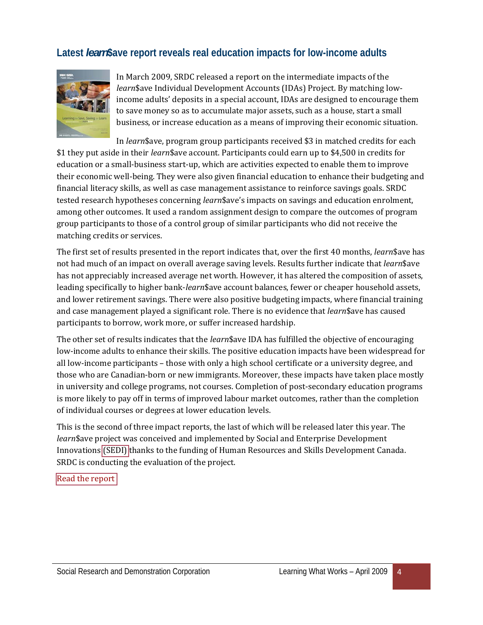# **Latest** *learn***\$ave report reveals real education impacts for low-income adults**



In March 2009, SRDC released a report on the intermediate impacts of the *learn*\$ave Individual Development Accounts (IDAs) Project. By matching lowincome adults' deposits in a special account, IDAs are designed to encourage them to save money so as to accumulate major assets, such as a house, start a small business, or increase education as a means of improving their economic situation.

In *learn*\$ave, program group participants received \$3 in matched credits for each \$1 they put aside in their *learn*\$ave account. Participants could earn up to \$4,500 in credits for education or a small-business start-up, which are activities expected to enable them to improve their economic well-being. They were also given financial education to enhance their budgeting and financial literacy skills, as well as case management assistance to reinforce savings goals. SRDC tested research hypotheses concerning *learn*\$ave's impacts on savings and education enrolment, among other outcomes. It used a random assignment design to compare the outcomes of program group participants to those of a control group of similar participants who did not receive the matching credits or services.

The first set of results presented in the report indicates that, over the first 40 months, *learn*\$ave has not had much of an impact on overall average saving levels. Results further indicate that *learn*\$ave has not appreciably increased average net worth. However, it has altered the composition of assets, leading specifically to higher bank-*learn*\$ave account balances, fewer or cheaper household assets, and lower retirement savings. There were also positive budgeting impacts, where financial training and case management played a significant role. There is no evidence that *learn*\$ave has caused participants to borrow, work more, or suffer increased hardship.

The other set of results indicates that the *learn*\$ave IDA has fulfilled the objective of encouraging low-income adults to enhance their skills. The positive education impacts have been widespread for all low-income participants – those with only a high school certificate or a university degree, and those who are Canadian-born or new immigrants. Moreover, these impacts have taken place mostly in university and college programs, not courses. Completion of post-secondary education programs is more likely to pay off in terms of improved labour market outcomes, rather than the completion of individual courses or degrees at lower education levels.

This is the second of three impact reports, the last of which will be released later this year. The *learn*\$ave project was conceived and implemented by Social and Enterprise Development Innovations [\(SEDI\)](http://www.sedi.org/html/splash/index.asp) thanks to the funding of Human Resources and Skills Development Canada. SRDC is conducting the evaluation of the project.

[Read the report](http://www.srdc.org/uploads/learnSave_IIR_ENG.pdf)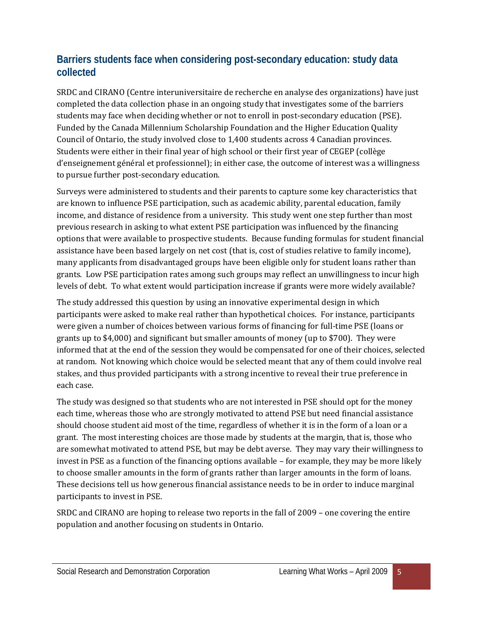## **Barriers students face when considering post-secondary education: study data collected**

SRDC and CIRANO (Centre interuniversitaire de recherche en analyse des organizations) have just completed the data collection phase in an ongoing study that investigates some of the barriers students may face when deciding whether or not to enroll in post-secondary education (PSE). Funded by the Canada Millennium Scholarship Foundation and the Higher Education Quality Council of Ontario, the study involved close to 1,400 students across 4 Canadian provinces. Students were either in their final year of high school or their first year of CEGEP (collège d'enseignement général et professionnel); in either case, the outcome of interest was a willingness to pursue further post-secondary education.

Surveys were administered to students and their parents to capture some key characteristics that are known to influence PSE participation, such as academic ability, parental education, family income, and distance of residence from a university. This study went one step further than most previous research in asking to what extent PSE participation was influenced by the financing options that were available to prospective students. Because funding formulas for student financial assistance have been based largely on net cost (that is, cost of studies relative to family income), many applicants from disadvantaged groups have been eligible only for student loans rather than grants. Low PSE participation rates among such groups may reflect an unwillingness to incur high levels of debt. To what extent would participation increase if grants were more widely available?

The study addressed this question by using an innovative experimental design in which participants were asked to make real rather than hypothetical choices. For instance, participants were given a number of choices between various forms of financing for full-time PSE (loans or grants up to \$4,000) and significant but smaller amounts of money (up to \$700). They were informed that at the end of the session they would be compensated for one of their choices, selected at random. Not knowing which choice would be selected meant that any of them could involve real stakes, and thus provided participants with a strong incentive to reveal their true preference in each case.

The study was designed so that students who are not interested in PSE should opt for the money each time, whereas those who are strongly motivated to attend PSE but need financial assistance should choose student aid most of the time, regardless of whether it is in the form of a loan or a grant. The most interesting choices are those made by students at the margin, that is, those who are somewhat motivated to attend PSE, but may be debt averse. They may vary their willingness to invest in PSE as a function of the financing options available – for example, they may be more likely to choose smaller amounts in the form of grants rather than larger amounts in the form of loans. These decisions tell us how generous financial assistance needs to be in order to induce marginal participants to invest in PSE.

SRDC and CIRANO are hoping to release two reports in the fall of 2009 – one covering the entire population and another focusing on students in Ontario.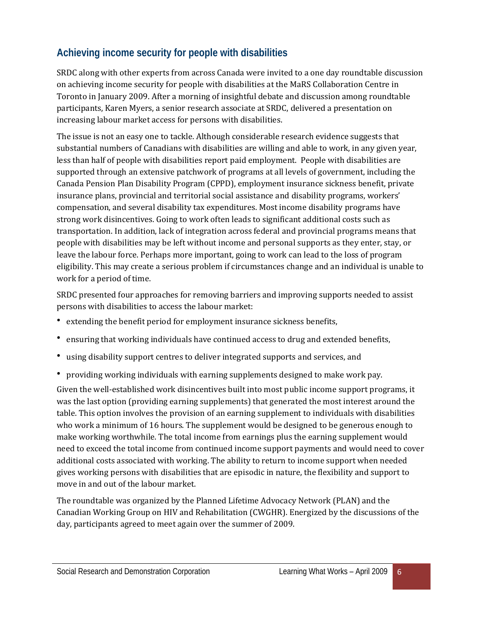# **Achieving income security for people with disabilities**

SRDC along with other experts from across Canada were invited to a one day roundtable discussion on achieving income security for people with disabilities at the MaRS Collaboration Centre in Toronto in January 2009. After a morning of insightful debate and discussion among roundtable participants, Karen Myers, a senior research associate at SRDC, delivered a presentation on increasing labour market access for persons with disabilities.

The issue is not an easy one to tackle. Although considerable research evidence suggests that substantial numbers of Canadians with disabilities are willing and able to work, in any given year, less than half of people with disabilities report paid employment. People with disabilities are supported through an extensive patchwork of programs at all levels of government, including the Canada Pension Plan Disability Program (CPPD), employment insurance sickness benefit, private insurance plans, provincial and territorial social assistance and disability programs, workers' compensation, and several disability tax expenditures. Most income disability programs have strong work disincentives. Going to work often leads to significant additional costs such as transportation. In addition, lack of integration across federal and provincial programs means that people with disabilities may be left without income and personal supports as they enter, stay, or leave the labour force. Perhaps more important, going to work can lead to the loss of program eligibility. This may create a serious problem if circumstances change and an individual is unable to work for a period of time.

SRDC presented four approaches for removing barriers and improving supports needed to assist persons with disabilities to access the labour market:

- extending the benefit period for employment insurance sickness benefits,
- ensuring that working individuals have continued access to drug and extended benefits,
- using disability support centres to deliver integrated supports and services, and
- providing working individuals with earning supplements designed to make work pay.

Given the well-established work disincentives built into most public income support programs, it was the last option (providing earning supplements) that generated the most interest around the table. This option involves the provision of an earning supplement to individuals with disabilities who work a minimum of 16 hours. The supplement would be designed to be generous enough to make working worthwhile. The total income from earnings plus the earning supplement would need to exceed the total income from continued income support payments and would need to cover additional costs associated with working. The ability to return to income support when needed gives working persons with disabilities that are episodic in nature, the flexibility and support to move in and out of the labour market.

The roundtable was organized by the Planned Lifetime Advocacy Network (PLAN) and the Canadian Working Group on HIV and Rehabilitation (CWGHR). Energized by the discussions of the day, participants agreed to meet again over the summer of 2009.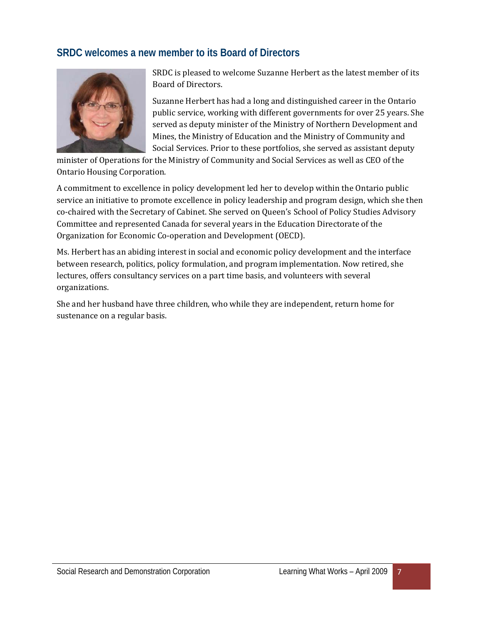# **SRDC welcomes a new member to its Board of Directors**



SRDC is pleased to welcome Suzanne Herbert as the latest member of its Board of Directors.

Suzanne Herbert has had a long and distinguished career in the Ontario public service, working with different governments for over 25 years. She served as deputy minister of the Ministry of Northern Development and Mines, the Ministry of Education and the Ministry of Community and Social Services. Prior to these portfolios, she served as assistant deputy

minister of Operations for the Ministry of Community and Social Services as well as CEO of the Ontario Housing Corporation.

A commitment to excellence in policy development led her to develop within the Ontario public service an initiative to promote excellence in policy leadership and program design, which she then co-chaired with the Secretary of Cabinet. She served on Queen's School of Policy Studies Advisory Committee and represented Canada for several years in the Education Directorate of the Organization for Economic Co-operation and Development (OECD).

Ms. Herbert has an abiding interest in social and economic policy development and the interface between research, politics, policy formulation, and program implementation. Now retired, she lectures, offers consultancy services on a part time basis, and volunteers with several organizations.

She and her husband have three children, who while they are independent, return home for sustenance on a regular basis.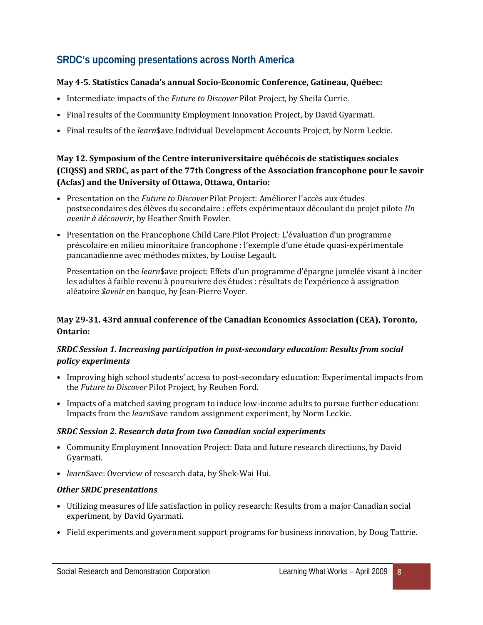# **SRDC's upcoming presentations across North America**

#### **May 4-5. Statistics Canada's annual Socio-Economic Conference, Gatineau, Québec:**

- Intermediate impacts of the *Future to Discover* Pilot Project, by Sheila Currie.
- Final results of the Community Employment Innovation Project, by David Gyarmati.
- Final results of the *learn*\$ave Individual Development Accounts Project, by Norm Leckie.

#### **May 12. Symposium of the Centre interuniversitaire québécois de statistiques sociales (CIQSS) and SRDC, as part of the 77th Congress of the Association francophone pour le savoir (Acfas) and the University of Ottawa, Ottawa, Ontario:**

- Presentation on the *Future to Discover* Pilot Project: Améliorer l'accès aux études postsecondaires des élèves du secondaire : effets expérimentaux découlant du projet pilote *Un avenir à découvrir*, by Heather Smith Fowler.
- Presentation on the Francophone Child Care Pilot Project: L'évaluation d'un programme préscolaire en milieu minoritaire francophone : l'exemple d'une étude quasi-expérimentale pancanadienne avec méthodes mixtes, by Louise Legault.

 Presentation on the *learn*\$ave project: Effets d'un programme d'épargne jumelée visant à inciter les adultes à faible revenu à poursuivre des études : résultats de l'expérience à assignation aléatoire *\$avoir* en banque, by Jean-Pierre Voyer.

#### **May 29-31. 43rd annual conference of the Canadian Economics Association (CEA), Toronto, Ontario:**

#### *SRDC Session 1. Increasing participation in post-secondary education: Results from social policy experiments*

- Improving high school students' access to post-secondary education: Experimental impacts from the *Future to Discover* Pilot Project, by Reuben Ford.
- Impacts of a matched saving program to induce low-income adults to pursue further education: Impacts from the *learn*\$ave random assignment experiment, by Norm Leckie.

#### *SRDC Session 2. Research data from two Canadian social experiments*

- Community Employment Innovation Project: Data and future research directions, by David Gyarmati.
- *learn*\$ave: Overview of research data, by Shek-Wai Hui.

#### *Other SRDC presentations*

- Utilizing measures of life satisfaction in policy research: Results from a major Canadian social experiment, by David Gyarmati.
- Field experiments and government support programs for business innovation, by Doug Tattrie.